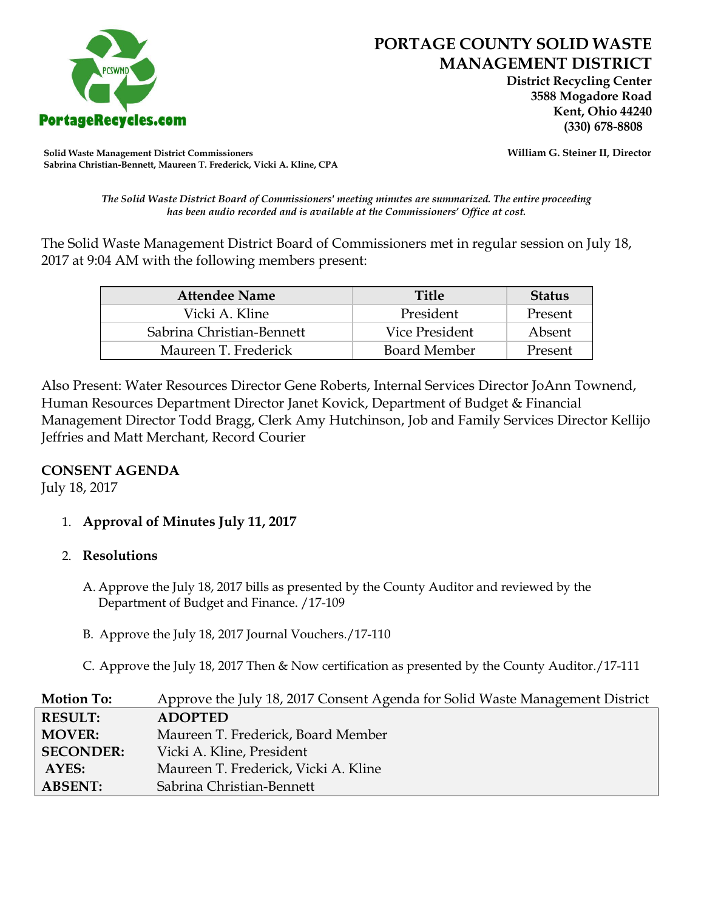

 **District Recycling Center 3588 Mogadore Road Kent, Ohio 44240**

**Solid Waste Management District Commissioners William G. Steiner II, Director Sabrina Christian-Bennett, Maureen T. Frederick, Vicki A. Kline, CPA**

*The Solid Waste District Board of Commissioners' meeting minutes are summarized. The entire proceeding has been audio recorded and is available at the Commissioners' Office at cost.*

The Solid Waste Management District Board of Commissioners met in regular session on July 18, 2017 at 9:04 AM with the following members present:

| <b>Attendee Name</b>      | <b>Title</b>        | <b>Status</b> |
|---------------------------|---------------------|---------------|
| Vicki A. Kline            | President           | Present       |
| Sabrina Christian-Bennett | Vice President      | Absent        |
| Maureen T. Frederick      | <b>Board Member</b> | Present       |

Also Present: Water Resources Director Gene Roberts, Internal Services Director JoAnn Townend, Human Resources Department Director Janet Kovick, Department of Budget & Financial Management Director Todd Bragg, Clerk Amy Hutchinson, Job and Family Services Director Kellijo Jeffries and Matt Merchant, Record Courier

## **CONSENT AGENDA**

July 18, 2017

## 1. **Approval of Minutes July 11, 2017**

#### 2. **Resolutions**

- A. Approve the July 18, 2017 bills as presented by the County Auditor and reviewed by the Department of Budget and Finance. /17-109
- B. Approve the July 18, 2017 Journal Vouchers./17-110
- C. Approve the July 18, 2017 Then & Now certification as presented by the County Auditor./17-111

| <b>Motion To:</b> | Approve the July 18, 2017 Consent Agenda for Solid Waste Management District |
|-------------------|------------------------------------------------------------------------------|
| <b>RESULT:</b>    | <b>ADOPTED</b>                                                               |
| <b>MOVER:</b>     | Maureen T. Frederick, Board Member                                           |
| <b>SECONDER:</b>  | Vicki A. Kline, President                                                    |
| AYES:             | Maureen T. Frederick, Vicki A. Kline                                         |
| <b>ABSENT:</b>    | Sabrina Christian-Bennett                                                    |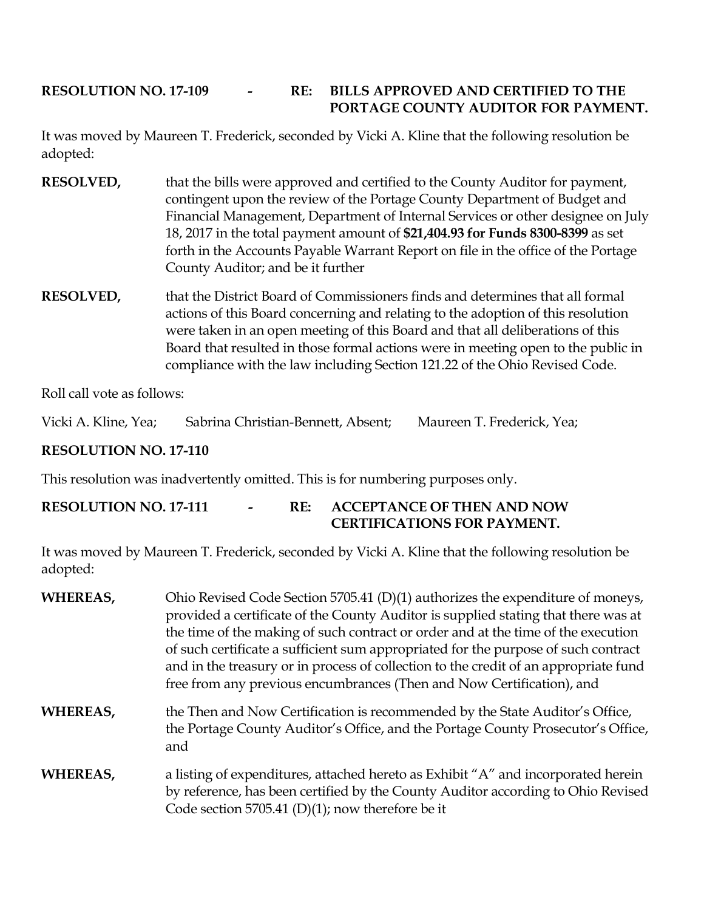# **RESOLUTION NO. 17-109 - RE: BILLS APPROVED AND CERTIFIED TO THE PORTAGE COUNTY AUDITOR FOR PAYMENT.**

It was moved by Maureen T. Frederick, seconded by Vicki A. Kline that the following resolution be adopted:

- **RESOLVED,** that the bills were approved and certified to the County Auditor for payment, contingent upon the review of the Portage County Department of Budget and Financial Management, Department of Internal Services or other designee on July 18, 2017 in the total payment amount of **\$21,404.93 for Funds 8300-8399** as set forth in the Accounts Payable Warrant Report on file in the office of the Portage County Auditor; and be it further
- **RESOLVED,** that the District Board of Commissioners finds and determines that all formal actions of this Board concerning and relating to the adoption of this resolution were taken in an open meeting of this Board and that all deliberations of this Board that resulted in those formal actions were in meeting open to the public in compliance with the law including Section 121.22 of the Ohio Revised Code.

Roll call vote as follows:

Vicki A. Kline, Yea; Sabrina Christian-Bennett, Absent; Maureen T. Frederick, Yea;

## **RESOLUTION NO. 17-110**

This resolution was inadvertently omitted. This is for numbering purposes only.

### **RESOLUTION NO. 17-111 - RE: ACCEPTANCE OF THEN AND NOW CERTIFICATIONS FOR PAYMENT.**

It was moved by Maureen T. Frederick, seconded by Vicki A. Kline that the following resolution be adopted:

| WHEREAS, | Ohio Revised Code Section 5705.41 (D)(1) authorizes the expenditure of moneys,<br>provided a certificate of the County Auditor is supplied stating that there was at<br>the time of the making of such contract or order and at the time of the execution<br>of such certificate a sufficient sum appropriated for the purpose of such contract<br>and in the treasury or in process of collection to the credit of an appropriate fund<br>free from any previous encumbrances (Then and Now Certification), and |
|----------|------------------------------------------------------------------------------------------------------------------------------------------------------------------------------------------------------------------------------------------------------------------------------------------------------------------------------------------------------------------------------------------------------------------------------------------------------------------------------------------------------------------|
| WHEREAS, | the Then and Now Certification is recommended by the State Auditor's Office,<br>the Portage County Auditor's Office, and the Portage County Prosecutor's Office,<br>and                                                                                                                                                                                                                                                                                                                                          |
| WHEREAS, | a listing of expenditures, attached hereto as Exhibit "A" and incorporated herein<br>by reference, has been certified by the County Auditor according to Ohio Revised<br>Code section 5705.41 (D)(1); now therefore be it                                                                                                                                                                                                                                                                                        |